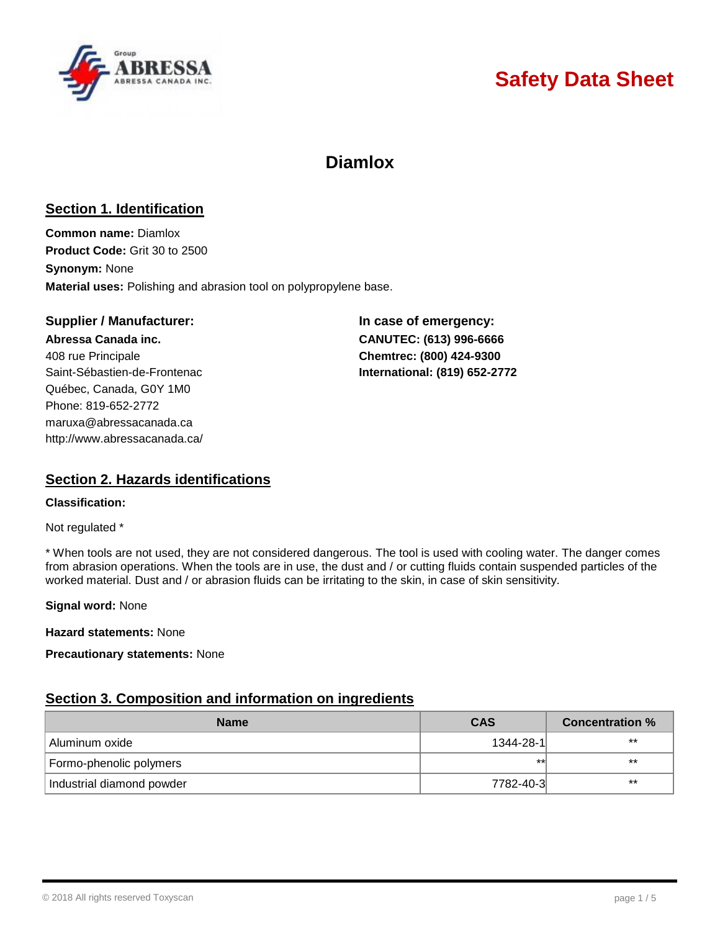

# **Safety Data Sheet**

# **Diamlox**

# **Section 1. Identification**

**Common name:** Diamlox **Product Code:** Grit 30 to 2500 **Synonym:** None **Material uses:** Polishing and abrasion tool on polypropylene base.

### **Supplier / Manufacturer: In case of emergency:**

**Abressa Canada inc. CANUTEC: (613) 996-6666** 408 rue Principale **Chemtrec: (800) 424-9300** Saint-Sébastien-de-Frontenac **International: (819) 652-2772** Québec, Canada, G0Y 1M0 Phone: 819-652-2772 [maruxa@abressacanada.ca](mailto:maruxa@abressacanada.ca) <http://www.abressacanada.ca/>

# **Section 2. Hazards identifications**

#### **Classification:**

Not regulated \*

\* When tools are not used, they are not considered dangerous. The tool is used with cooling water. The danger comes from abrasion operations. When the tools are in use, the dust and / or cutting fluids contain suspended particles of the worked material. Dust and / or abrasion fluids can be irritating to the skin, in case of skin sensitivity.

**Signal word:** None

**Hazard statements:** None

**Precautionary statements:** None

## **Section 3. Composition and information on ingredients**

| <b>Name</b>               | CAS       | <b>Concentration %</b> |
|---------------------------|-----------|------------------------|
| ! Aluminum oxide          | 1344-28-1 | $***$                  |
| Formo-phenolic polymers   | $+1$      | $***$                  |
| Industrial diamond powder | 7782-40-3 | $***$                  |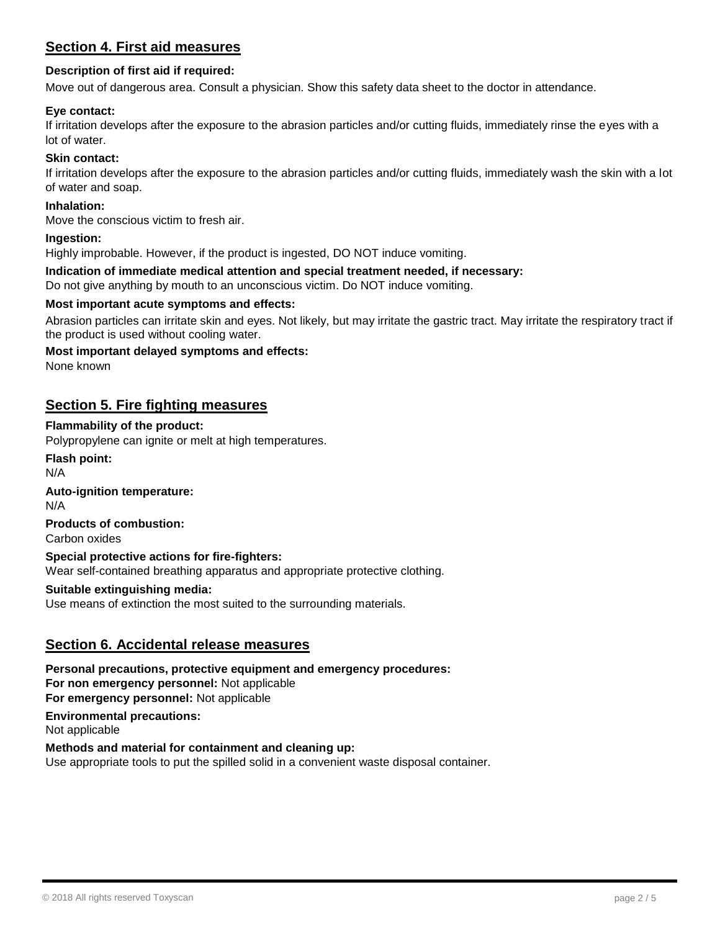# **Section 4. First aid measures**

### **Description of first aid if required:**

Move out of dangerous area. Consult a physician. Show this safety data sheet to the doctor in attendance.

#### **Eye contact:**

If irritation develops after the exposure to the abrasion particles and/or cutting fluids, immediately rinse the eyes with a lot of water.

#### **Skin contact:**

If irritation develops after the exposure to the abrasion particles and/or cutting fluids, immediately wash the skin with a lot of water and soap.

#### **Inhalation:**

Move the conscious victim to fresh air.

#### **Ingestion:**

Highly improbable. However, if the product is ingested, DO NOT induce vomiting.

#### **Indication of immediate medical attention and special treatment needed, if necessary:**

Do not give anything by mouth to an unconscious victim. Do NOT induce vomiting.

#### **Most important acute symptoms and effects:**

Abrasion particles can irritate skin and eyes. Not likely, but may irritate the gastric tract. May irritate the respiratory tract if the product is used without cooling water.

#### **Most important delayed symptoms and effects:**

None known

## **Section 5. Fire fighting measures**

#### **Flammability of the product:**

Polypropylene can ignite or melt at high temperatures.

**Flash point:**

N/A

### **Auto-ignition temperature:**

N/A

#### **Products of combustion:** Carbon oxides

#### **Special protective actions for fire-fighters:**

Wear self-contained breathing apparatus and appropriate protective clothing.

#### **Suitable extinguishing media:**

Use means of extinction the most suited to the surrounding materials.

## **Section 6. Accidental release measures**

**Personal precautions, protective equipment and emergency procedures: For non emergency personnel:** Not applicable **For emergency personnel:** Not applicable

**Environmental precautions:**

Not applicable

#### **Methods and material for containment and cleaning up:**

Use appropriate tools to put the spilled solid in a convenient waste disposal container.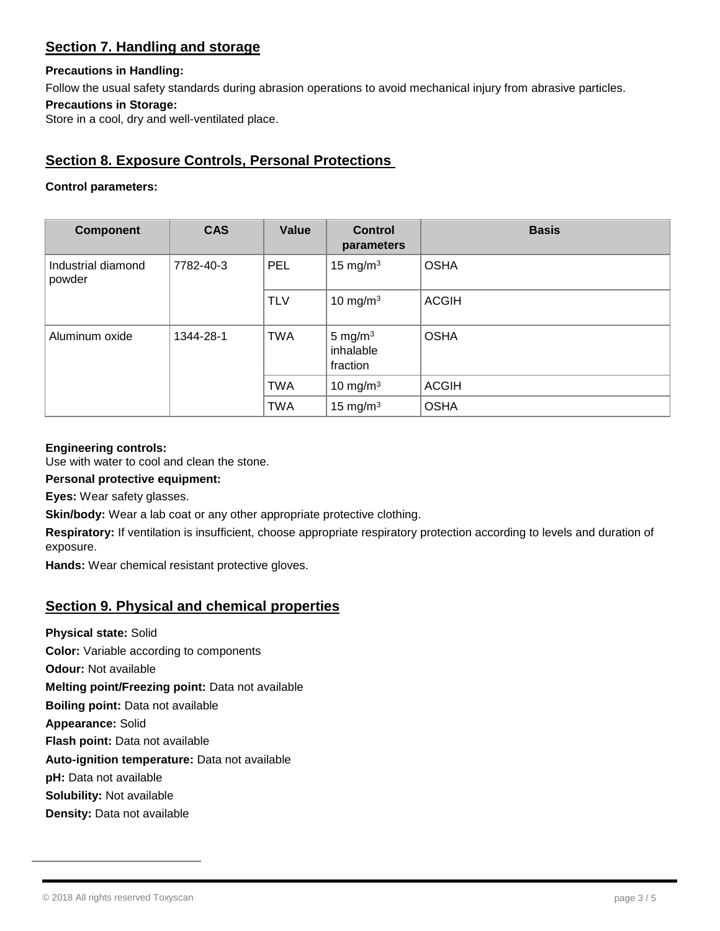# **Section 7. Handling and storage**

### **Precautions in Handling:**

Follow the usual safety standards during abrasion operations to avoid mechanical injury from abrasive particles.

### **Precautions in Storage:**

Store in a cool, dry and well-ventilated place.

# **Section 8. Exposure Controls, Personal Protections**

## **Control parameters:**

| <b>Component</b>             | <b>CAS</b> | Value      | <b>Control</b><br>parameters        | <b>Basis</b> |
|------------------------------|------------|------------|-------------------------------------|--------------|
| Industrial diamond<br>powder | 7782-40-3  | PEL        | 15 mg/m $3$                         | <b>OSHA</b>  |
|                              |            | <b>TLV</b> | 10 mg/m $3$                         | <b>ACGIH</b> |
| Aluminum oxide               | 1344-28-1  | <b>TWA</b> | 5 mg/ $m3$<br>inhalable<br>fraction | <b>OSHA</b>  |
|                              |            | <b>TWA</b> | 10 mg/m $3$                         | <b>ACGIH</b> |
|                              |            | <b>TWA</b> | 15 mg/m $3$                         | <b>OSHA</b>  |

### **Engineering controls:**

Use with water to cool and clean the stone.

**Personal protective equipment:**

**Eyes:** Wear safety glasses.

**Skin/body:** Wear a lab coat or any other appropriate protective clothing.

**Respiratory:** If ventilation is insufficient, choose appropriate respiratory protection according to levels and duration of exposure.

**Hands:** Wear chemical resistant protective gloves.

# **Section 9. Physical and chemical properties**

**Physical state:** Solid **Color:** Variable according to components **Odour:** Not available **Melting point/Freezing point:** Data not available **Boiling point:** Data not available **Appearance:** Solid **Flash point:** Data not available **Auto-ignition temperature:** Data not available **pH:** Data not available

**Solubility:** Not available

**Density:** Data not available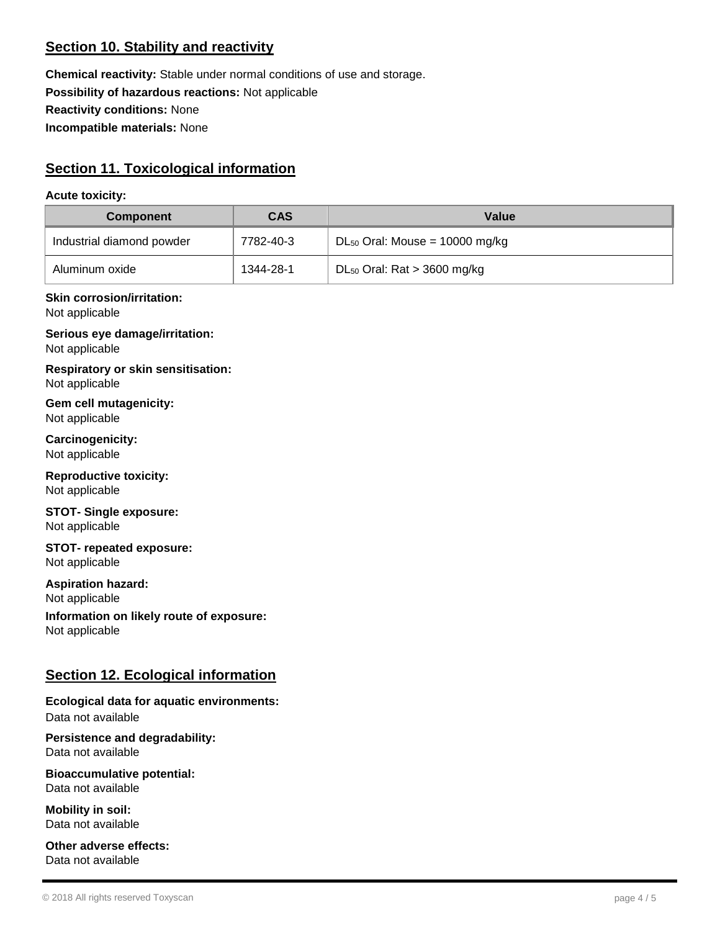# **Section 10. Stability and reactivity**

**Chemical reactivity:** Stable under normal conditions of use and storage. **Possibility of hazardous reactions:** Not applicable **Reactivity conditions:** None **Incompatible materials:** None

# **Section 11. Toxicological information**

#### **Acute toxicity:**

| <b>Component</b>                                            | <b>CAS</b> | <b>Value</b>                        |
|-------------------------------------------------------------|------------|-------------------------------------|
| Industrial diamond powder                                   | 7782-40-3  | $DL_{50}$ Oral: Mouse = 10000 mg/kg |
| Aluminum oxide                                              | 1344-28-1  | $DL_{50}$ Oral: Rat > 3600 mg/kg    |
| <b>Skin corrosion/irritation:</b><br>Not applicable         |            |                                     |
| Serious eye damage/irritation:<br>Not applicable            |            |                                     |
| <b>Respiratory or skin sensitisation:</b><br>Not applicable |            |                                     |
| Gem cell mutagenicity:<br>Not applicable                    |            |                                     |
| Carcinogenicity:<br>Not applicable                          |            |                                     |
| <b>Reproductive toxicity:</b><br>Not applicable             |            |                                     |

**STOT- Single exposure:** Not applicable

**STOT- repeated exposure:** Not applicable

**Aspiration hazard:** Not applicable

**Information on likely route of exposure:** Not applicable

# **Section 12. Ecological information**

# **Ecological data for aquatic environments:**

Data not available

**Persistence and degradability:** Data not available

**Bioaccumulative potential:** Data not available

**Mobility in soil:** Data not available

**Other adverse effects:** Data not available